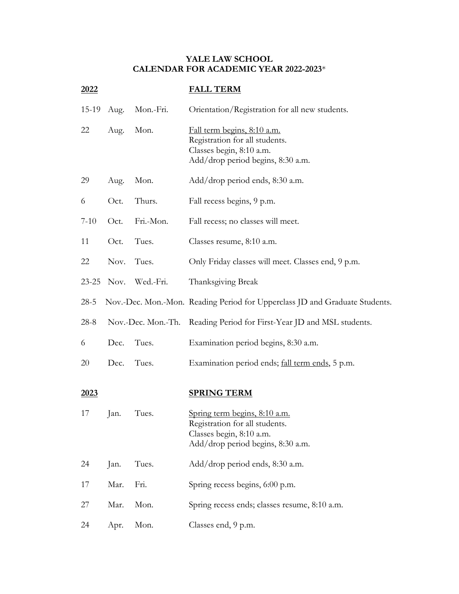## **YALE LAW SCHOOL CALENDAR FOR ACADEMIC YEAR 2022-2023**\*

| <u> 2022 </u>     |      |                    | <b>FALL TERM</b>                                                                                                               |
|-------------------|------|--------------------|--------------------------------------------------------------------------------------------------------------------------------|
| 15-19             | Aug. | Mon.-Fri.          | Orientation/Registration for all new students.                                                                                 |
| 22                | Aug. | Mon.               | Fall term begins, 8:10 a.m.<br>Registration for all students.<br>Classes begin, 8:10 a.m.<br>Add/drop period begins, 8:30 a.m. |
| 29                | Aug. | Mon.               | Add/drop period ends, 8:30 a.m.                                                                                                |
| 6                 | Oct. | Thurs.             | Fall recess begins, 9 p.m.                                                                                                     |
| $7-10$            | Oct. | Fri.-Mon.          | Fall recess; no classes will meet.                                                                                             |
| 11                | Oct. | Tues.              | Classes resume, 8:10 a.m.                                                                                                      |
| 22                | Nov. | Tues.              | Only Friday classes will meet. Classes end, 9 p.m.                                                                             |
| $23 - 25$         | Nov. | Wed.-Fri.          | Thanksgiving Break                                                                                                             |
| $28-5$            |      |                    | Nov.-Dec. Mon.-Mon. Reading Period for Upperclass JD and Graduate Students.                                                    |
| $28-8$            |      | Nov.-Dec. Mon.-Th. | Reading Period for First-Year JD and MSL students.                                                                             |
| 6                 | Dec. | Tues.              | Examination period begins, 8:30 a.m.                                                                                           |
| 20                | Dec. | Tues.              | Examination period ends; fall term ends, 5 p.m.                                                                                |
| <u>2023</u><br>17 | Jan. | Tues.              | <b>SPRING TERM</b><br>Spring term begins, 8:10 a.m.<br>Registration for all students.<br>Classes begin, 8:10 a.m.              |
|                   |      |                    | Add/drop period begins, 8:30 a.m.                                                                                              |
| 24                | Jan. | Tues.              | Add/drop period ends, 8:30 a.m.                                                                                                |
| 17                | Mar. | Fri.               | Spring recess begins, 6:00 p.m.                                                                                                |
| 27                | Mar. | Mon.               | Spring recess ends; classes resume, 8:10 a.m.                                                                                  |
| 24                | Apr. | Mon.               | Classes end, 9 p.m.                                                                                                            |